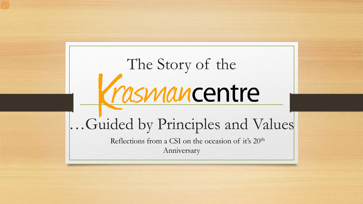# The Story of the<br> **MANCENTE**

# …Guided by Principles and Values

Reflections from a CSI on the occasion of it's 20th Anniversary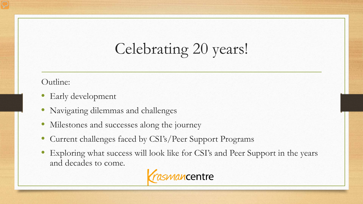# Celebrating 20 years!

#### Outline:

- Early development
- Navigating dilemmas and challenges
- Milestones and successes along the journey
- Current challenges faced by CSI's/Peer Support Programs
- Exploring what success will look like for CSI's and Peer Support in the years and decades to come.

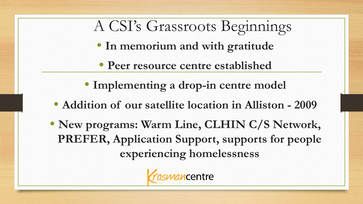## A CSI's Grassroots Beginnings

- **In memorium and with gratitude**
- **Peer resource centre established**
- **Implementing a drop-in centre model**
- **Addition of our satellite location in Alliston - 2009**
- **New programs: Warm Line, CLHIN C/S Network, PREFER, Application Support, supports for people experiencing homelessness**

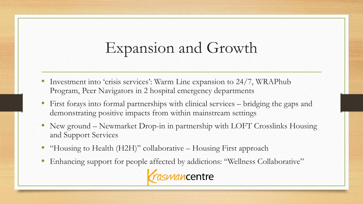## Expansion and Growth

- Investment into 'crisis services': Warm Line expansion to 24/7, WRAPhub Program, Peer Navigators in 2 hospital emergency departments
- First forays into formal partnerships with clinical services bridging the gaps and demonstrating positive impacts from within mainstream settings
- New ground Newmarket Drop-in in partnership with LOFT Crosslinks Housing and Support Services
- "Housing to Health (H2H)" collaborative Housing First approach
- Enhancing support for people affected by addictions: "Wellness Collaborative"

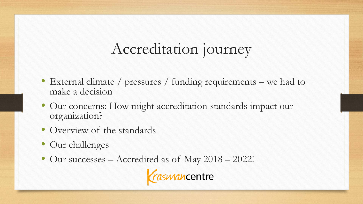## Accreditation journey

- External climate / pressures / funding requirements we had to make a decision
- Our concerns: How might accreditation standards impact our organization?
- Overview of the standards
- Our challenges
- Our successes Accredited as of May 2018 2022!

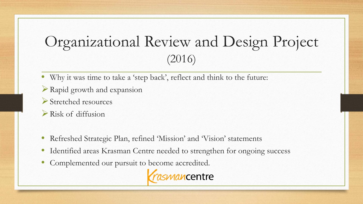### Organizational Review and Design Project (2016)

- Why it was time to take a 'step back', reflect and think to the future:
- Rapid growth and expansion
- Stretched resources
- Risk of diffusion
- Refreshed Strategic Plan, refined 'Mission' and 'Vision' statements
- Identified areas Krasman Centre needed to strengthen for ongoing success
- Complemented our pursuit to become accredited.

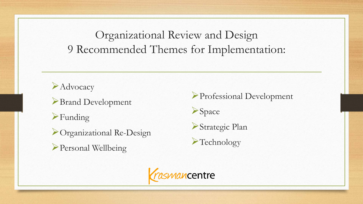Organizational Review and Design 9 Recommended Themes for Implementation:

**Advocacy** 

Brand Development

Funding

Organizational Re-Design

Personal Wellbeing

Professional Development

**Space** 



Technology

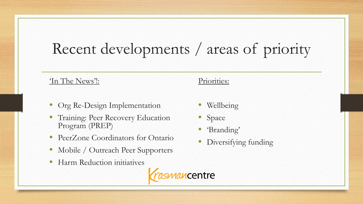# Recent developments / areas of priority

#### 'In The News'!:

- Org Re-Design Implementation
- Training: Peer Recovery Education Program (PREP)
- PeerZone Coordinators for Ontario
- Mobile / Outreach Peer Supporters
- Harm Reduction initiatives



#### Priorities:

- Wellbeing
- Space
- 'Branding'
- Diversifying funding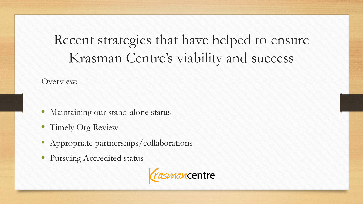## Recent strategies that have helped to ensure Krasman Centre's viability and success

#### Overview:

- Maintaining our stand-alone status
- Timely Org Review
- Appropriate partnerships/collaborations
- Pursuing Accredited status

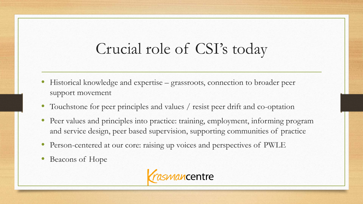## Crucial role of CSI's today

- Historical knowledge and expertise grassroots, connection to broader peer support movement
- Touchstone for peer principles and values / resist peer drift and co-optation
- Peer values and principles into practice: training, employment, informing program and service design, peer based supervision, supporting communities of practice
- Person-centered at our core: raising up voices and perspectives of PWLE
- Beacons of Hope

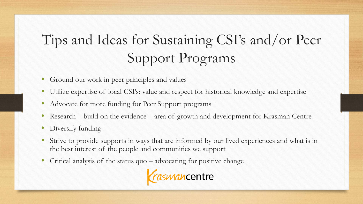## Tips and Ideas for Sustaining CSI's and/or Peer Support Programs

- Ground our work in peer principles and values
- Utilize expertise of local CSI's: value and respect for historical knowledge and expertise
- Advocate for more funding for Peer Support programs
- Research build on the evidence area of growth and development for Krasman Centre
- Diversify funding
- Strive to provide supports in ways that are informed by our lived experiences and what is in the best interest of the people and communities we support
- Critical analysis of the status quo advocating for positive change

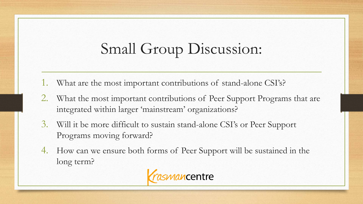# Small Group Discussion:

- What are the most important contributions of stand-alone CSI's?
- 2. What the most important contributions of Peer Support Programs that are integrated within larger 'mainstream' organizations?
- 3. Will it be more difficult to sustain stand-alone CSI's or Peer Support Programs moving forward?
- 4. How can we ensure both forms of Peer Support will be sustained in the long term?

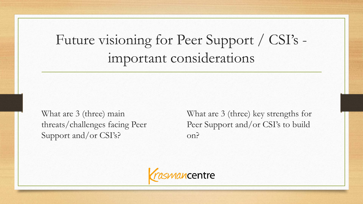Future visioning for Peer Support / CSI's important considerations

What are 3 (three) main threats/challenges facing Peer Support and/or CSI's?

What are 3 (three) key strengths for Peer Support and/or CSI's to build on?